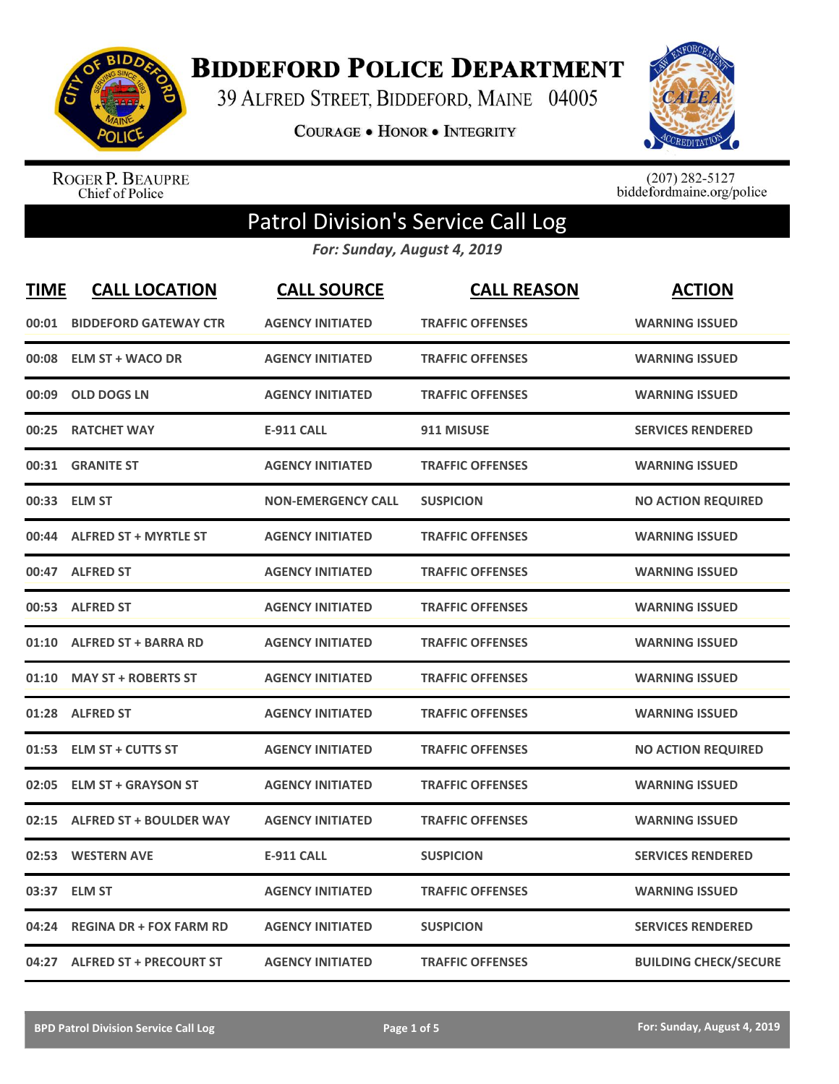

**BIDDEFORD POLICE DEPARTMENT** 

39 ALFRED STREET, BIDDEFORD, MAINE 04005

**COURAGE . HONOR . INTEGRITY** 



ROGER P. BEAUPRE<br>Chief of Police

 $(207)$  282-5127<br>biddefordmaine.org/police

## Patrol Division's Service Call Log

*For: Sunday, August 4, 2019*

| <b>TIME</b> | <b>CALL LOCATION</b>           | <b>CALL SOURCE</b>        | <b>CALL REASON</b>      | <b>ACTION</b>                |
|-------------|--------------------------------|---------------------------|-------------------------|------------------------------|
| 00:01       | <b>BIDDEFORD GATEWAY CTR</b>   | <b>AGENCY INITIATED</b>   | <b>TRAFFIC OFFENSES</b> | <b>WARNING ISSUED</b>        |
| 00:08       | <b>ELM ST + WACO DR</b>        | <b>AGENCY INITIATED</b>   | <b>TRAFFIC OFFENSES</b> | <b>WARNING ISSUED</b>        |
| 00:09       | <b>OLD DOGS LN</b>             | <b>AGENCY INITIATED</b>   | <b>TRAFFIC OFFENSES</b> | <b>WARNING ISSUED</b>        |
| 00:25       | <b>RATCHET WAY</b>             | <b>E-911 CALL</b>         | 911 MISUSE              | <b>SERVICES RENDERED</b>     |
| 00:31       | <b>GRANITE ST</b>              | <b>AGENCY INITIATED</b>   | <b>TRAFFIC OFFENSES</b> | <b>WARNING ISSUED</b>        |
|             | 00:33 ELM ST                   | <b>NON-EMERGENCY CALL</b> | <b>SUSPICION</b>        | <b>NO ACTION REQUIRED</b>    |
| 00:44       | <b>ALFRED ST + MYRTLE ST</b>   | <b>AGENCY INITIATED</b>   | <b>TRAFFIC OFFENSES</b> | <b>WARNING ISSUED</b>        |
|             | 00:47 ALFRED ST                | <b>AGENCY INITIATED</b>   | <b>TRAFFIC OFFENSES</b> | <b>WARNING ISSUED</b>        |
|             | 00:53 ALFRED ST                | <b>AGENCY INITIATED</b>   | <b>TRAFFIC OFFENSES</b> | <b>WARNING ISSUED</b>        |
| 01:10       | <b>ALFRED ST + BARRA RD</b>    | <b>AGENCY INITIATED</b>   | <b>TRAFFIC OFFENSES</b> | <b>WARNING ISSUED</b>        |
| 01:10       | <b>MAY ST + ROBERTS ST</b>     | <b>AGENCY INITIATED</b>   | <b>TRAFFIC OFFENSES</b> | <b>WARNING ISSUED</b>        |
| 01:28       | <b>ALFRED ST</b>               | <b>AGENCY INITIATED</b>   | <b>TRAFFIC OFFENSES</b> | <b>WARNING ISSUED</b>        |
| 01:53       | <b>ELM ST + CUTTS ST</b>       | <b>AGENCY INITIATED</b>   | <b>TRAFFIC OFFENSES</b> | <b>NO ACTION REQUIRED</b>    |
| 02:05       | <b>ELM ST + GRAYSON ST</b>     | <b>AGENCY INITIATED</b>   | <b>TRAFFIC OFFENSES</b> | <b>WARNING ISSUED</b>        |
| 02:15       | <b>ALFRED ST + BOULDER WAY</b> | <b>AGENCY INITIATED</b>   | <b>TRAFFIC OFFENSES</b> | <b>WARNING ISSUED</b>        |
| 02:53       | <b>WESTERN AVE</b>             | <b>E-911 CALL</b>         | <b>SUSPICION</b>        | <b>SERVICES RENDERED</b>     |
| 03:37       | <b>ELM ST</b>                  | <b>AGENCY INITIATED</b>   | <b>TRAFFIC OFFENSES</b> | <b>WARNING ISSUED</b>        |
| 04:24       | <b>REGINA DR + FOX FARM RD</b> | <b>AGENCY INITIATED</b>   | <b>SUSPICION</b>        | <b>SERVICES RENDERED</b>     |
|             | 04:27 ALFRED ST + PRECOURT ST  | <b>AGENCY INITIATED</b>   | <b>TRAFFIC OFFENSES</b> | <b>BUILDING CHECK/SECURE</b> |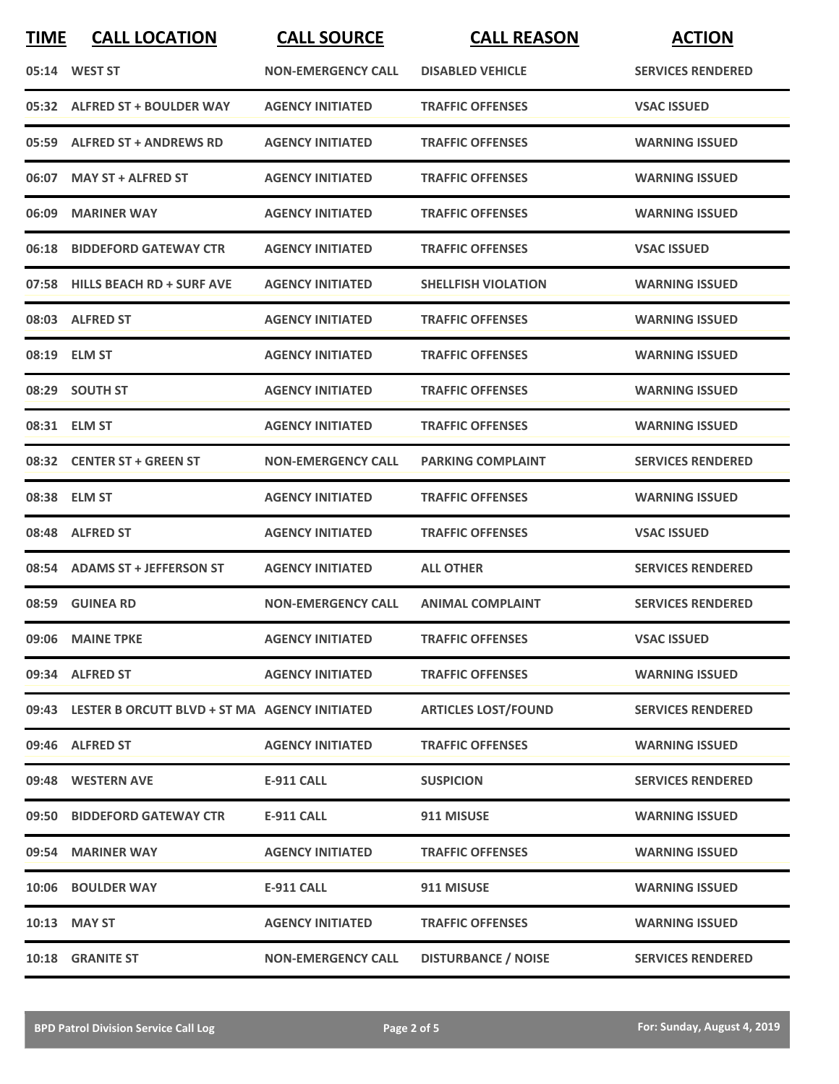| <b>TIME</b> | <b>CALL LOCATION</b>                                | <b>CALL SOURCE</b>        | <b>CALL REASON</b>         | <b>ACTION</b>            |
|-------------|-----------------------------------------------------|---------------------------|----------------------------|--------------------------|
|             | 05:14 WEST ST                                       | <b>NON-EMERGENCY CALL</b> | <b>DISABLED VEHICLE</b>    | <b>SERVICES RENDERED</b> |
|             | 05:32 ALFRED ST + BOULDER WAY                       | <b>AGENCY INITIATED</b>   | <b>TRAFFIC OFFENSES</b>    | <b>VSAC ISSUED</b>       |
|             | 05:59 ALFRED ST + ANDREWS RD                        | <b>AGENCY INITIATED</b>   | <b>TRAFFIC OFFENSES</b>    | <b>WARNING ISSUED</b>    |
|             | 06:07 MAY ST + ALFRED ST                            | <b>AGENCY INITIATED</b>   | <b>TRAFFIC OFFENSES</b>    | <b>WARNING ISSUED</b>    |
| 06:09       | <b>MARINER WAY</b>                                  | <b>AGENCY INITIATED</b>   | <b>TRAFFIC OFFENSES</b>    | <b>WARNING ISSUED</b>    |
| 06:18       | <b>BIDDEFORD GATEWAY CTR</b>                        | <b>AGENCY INITIATED</b>   | <b>TRAFFIC OFFENSES</b>    | <b>VSAC ISSUED</b>       |
| 07:58       | <b>HILLS BEACH RD + SURF AVE</b>                    | <b>AGENCY INITIATED</b>   | <b>SHELLFISH VIOLATION</b> | <b>WARNING ISSUED</b>    |
|             | 08:03 ALFRED ST                                     | <b>AGENCY INITIATED</b>   | <b>TRAFFIC OFFENSES</b>    | <b>WARNING ISSUED</b>    |
|             | 08:19 ELM ST                                        | <b>AGENCY INITIATED</b>   | <b>TRAFFIC OFFENSES</b>    | <b>WARNING ISSUED</b>    |
|             | 08:29 SOUTH ST                                      | <b>AGENCY INITIATED</b>   | <b>TRAFFIC OFFENSES</b>    | <b>WARNING ISSUED</b>    |
|             | 08:31 ELM ST                                        | <b>AGENCY INITIATED</b>   | <b>TRAFFIC OFFENSES</b>    | <b>WARNING ISSUED</b>    |
|             | 08:32 CENTER ST + GREEN ST                          | <b>NON-EMERGENCY CALL</b> | <b>PARKING COMPLAINT</b>   | <b>SERVICES RENDERED</b> |
|             | 08:38 ELM ST                                        | <b>AGENCY INITIATED</b>   | <b>TRAFFIC OFFENSES</b>    | <b>WARNING ISSUED</b>    |
| 08:48       | <b>ALFRED ST</b>                                    | <b>AGENCY INITIATED</b>   | <b>TRAFFIC OFFENSES</b>    | <b>VSAC ISSUED</b>       |
|             | 08:54 ADAMS ST + JEFFERSON ST                       | <b>AGENCY INITIATED</b>   | <b>ALL OTHER</b>           | <b>SERVICES RENDERED</b> |
|             | 08:59 GUINEA RD                                     | <b>NON-EMERGENCY CALL</b> | <b>ANIMAL COMPLAINT</b>    | <b>SERVICES RENDERED</b> |
|             | 09:06 MAINE TPKE                                    | <b>AGENCY INITIATED</b>   | <b>TRAFFIC OFFENSES</b>    | <b>VSAC ISSUED</b>       |
|             | 09:34 ALFRED ST                                     | <b>AGENCY INITIATED</b>   | <b>TRAFFIC OFFENSES</b>    | <b>WARNING ISSUED</b>    |
|             | 09:43 LESTER B ORCUTT BLVD + ST MA AGENCY INITIATED |                           | <b>ARTICLES LOST/FOUND</b> | <b>SERVICES RENDERED</b> |
|             | 09:46 ALFRED ST                                     | <b>AGENCY INITIATED</b>   | <b>TRAFFIC OFFENSES</b>    | <b>WARNING ISSUED</b>    |
|             | 09:48 WESTERN AVE                                   | <b>E-911 CALL</b>         | <b>SUSPICION</b>           | <b>SERVICES RENDERED</b> |
|             | 09:50 BIDDEFORD GATEWAY CTR                         | E-911 CALL                | 911 MISUSE                 | <b>WARNING ISSUED</b>    |
|             | 09:54 MARINER WAY                                   | <b>AGENCY INITIATED</b>   | <b>TRAFFIC OFFENSES</b>    | <b>WARNING ISSUED</b>    |
|             | 10:06 BOULDER WAY                                   | <b>E-911 CALL</b>         | 911 MISUSE                 | <b>WARNING ISSUED</b>    |
|             | 10:13 MAY ST                                        | <b>AGENCY INITIATED</b>   | <b>TRAFFIC OFFENSES</b>    | <b>WARNING ISSUED</b>    |
|             | 10:18 GRANITE ST                                    | <b>NON-EMERGENCY CALL</b> | <b>DISTURBANCE / NOISE</b> | <b>SERVICES RENDERED</b> |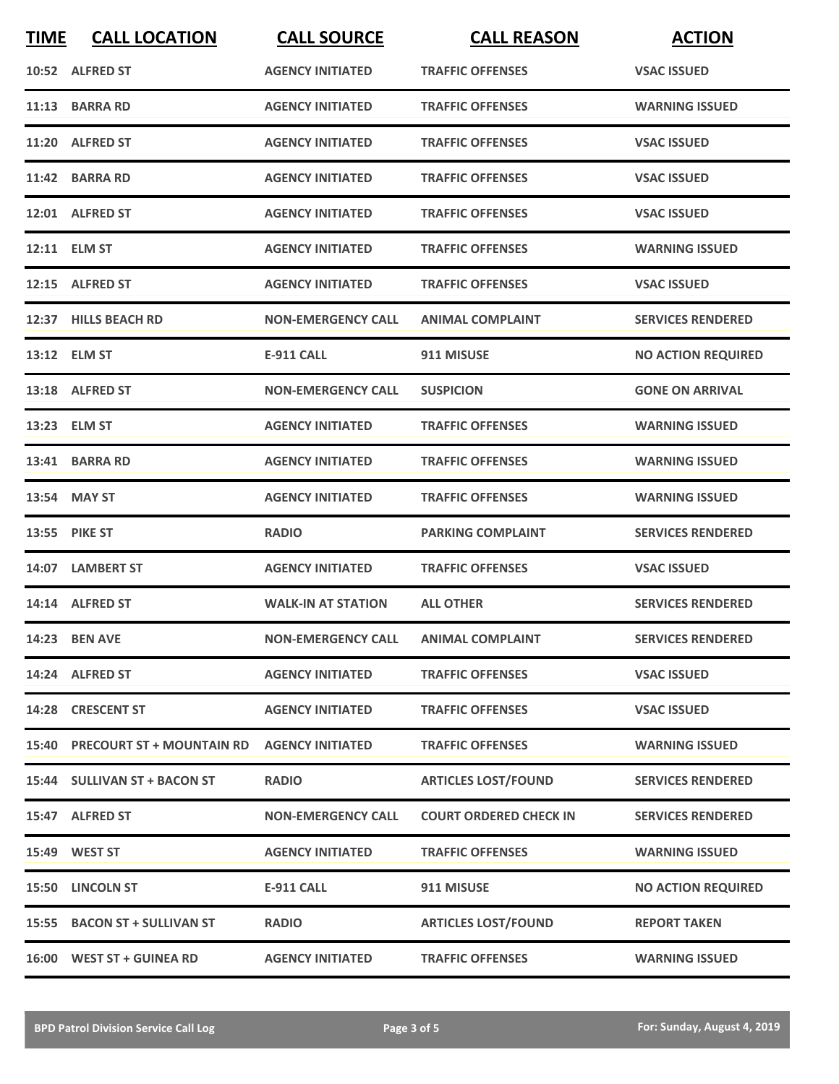| <b>TIME</b> | <b>CALL LOCATION</b>            | <b>CALL SOURCE</b>        | <b>CALL REASON</b>            | <b>ACTION</b>             |
|-------------|---------------------------------|---------------------------|-------------------------------|---------------------------|
|             | 10:52 ALFRED ST                 | <b>AGENCY INITIATED</b>   | <b>TRAFFIC OFFENSES</b>       | <b>VSAC ISSUED</b>        |
| 11:13       | <b>BARRA RD</b>                 | <b>AGENCY INITIATED</b>   | <b>TRAFFIC OFFENSES</b>       | <b>WARNING ISSUED</b>     |
|             | 11:20 ALFRED ST                 | <b>AGENCY INITIATED</b>   | <b>TRAFFIC OFFENSES</b>       | <b>VSAC ISSUED</b>        |
|             | 11:42 BARRA RD                  | <b>AGENCY INITIATED</b>   | <b>TRAFFIC OFFENSES</b>       | <b>VSAC ISSUED</b>        |
|             | 12:01 ALFRED ST                 | <b>AGENCY INITIATED</b>   | <b>TRAFFIC OFFENSES</b>       | <b>VSAC ISSUED</b>        |
|             | 12:11 ELM ST                    | <b>AGENCY INITIATED</b>   | <b>TRAFFIC OFFENSES</b>       | <b>WARNING ISSUED</b>     |
| 12:15       | <b>ALFRED ST</b>                | <b>AGENCY INITIATED</b>   | <b>TRAFFIC OFFENSES</b>       | <b>VSAC ISSUED</b>        |
|             | 12:37 HILLS BEACH RD            | <b>NON-EMERGENCY CALL</b> | <b>ANIMAL COMPLAINT</b>       | <b>SERVICES RENDERED</b>  |
|             | 13:12 ELM ST                    | <b>E-911 CALL</b>         | 911 MISUSE                    | <b>NO ACTION REQUIRED</b> |
|             | 13:18 ALFRED ST                 | <b>NON-EMERGENCY CALL</b> | <b>SUSPICION</b>              | <b>GONE ON ARRIVAL</b>    |
|             | 13:23 ELM ST                    | <b>AGENCY INITIATED</b>   | <b>TRAFFIC OFFENSES</b>       | <b>WARNING ISSUED</b>     |
|             | 13:41 BARRA RD                  | <b>AGENCY INITIATED</b>   | <b>TRAFFIC OFFENSES</b>       | <b>WARNING ISSUED</b>     |
| 13:54       | <b>MAY ST</b>                   | <b>AGENCY INITIATED</b>   | <b>TRAFFIC OFFENSES</b>       | <b>WARNING ISSUED</b>     |
| 13:55       | <b>PIKE ST</b>                  | <b>RADIO</b>              | <b>PARKING COMPLAINT</b>      | <b>SERVICES RENDERED</b>  |
| 14:07       | <b>LAMBERT ST</b>               | <b>AGENCY INITIATED</b>   | <b>TRAFFIC OFFENSES</b>       | <b>VSAC ISSUED</b>        |
|             | 14:14 ALFRED ST                 | <b>WALK-IN AT STATION</b> | <b>ALL OTHER</b>              | <b>SERVICES RENDERED</b>  |
|             | 14:23 BEN AVE                   | <b>NON-EMERGENCY CALL</b> | <b>ANIMAL COMPLAINT</b>       | <b>SERVICES RENDERED</b>  |
|             | 14:24 ALFRED ST                 | <b>AGENCY INITIATED</b>   | <b>TRAFFIC OFFENSES</b>       | <b>VSAC ISSUED</b>        |
|             | 14:28 CRESCENT ST               | <b>AGENCY INITIATED</b>   | <b>TRAFFIC OFFENSES</b>       | <b>VSAC ISSUED</b>        |
|             | 15:40 PRECOURT ST + MOUNTAIN RD | <b>AGENCY INITIATED</b>   | <b>TRAFFIC OFFENSES</b>       | <b>WARNING ISSUED</b>     |
|             | 15:44 SULLIVAN ST + BACON ST    | <b>RADIO</b>              | <b>ARTICLES LOST/FOUND</b>    | <b>SERVICES RENDERED</b>  |
|             | 15:47 ALFRED ST                 | <b>NON-EMERGENCY CALL</b> | <b>COURT ORDERED CHECK IN</b> | <b>SERVICES RENDERED</b>  |
|             | 15:49 WEST ST                   | <b>AGENCY INITIATED</b>   | <b>TRAFFIC OFFENSES</b>       | <b>WARNING ISSUED</b>     |
| 15:50       | <b>LINCOLN ST</b>               | <b>E-911 CALL</b>         | 911 MISUSE                    | <b>NO ACTION REQUIRED</b> |
|             | 15:55 BACON ST + SULLIVAN ST    | <b>RADIO</b>              | <b>ARTICLES LOST/FOUND</b>    | <b>REPORT TAKEN</b>       |
|             | 16:00 WEST ST + GUINEA RD       | <b>AGENCY INITIATED</b>   | <b>TRAFFIC OFFENSES</b>       | <b>WARNING ISSUED</b>     |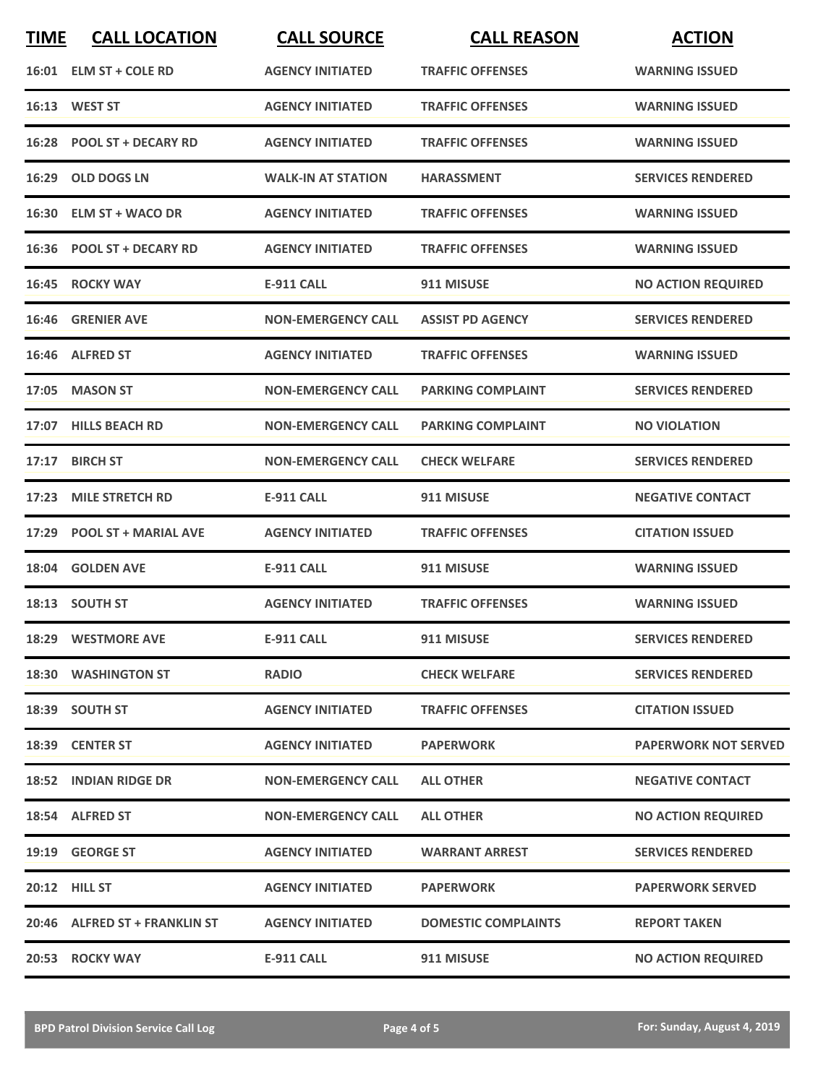| <b>TIME</b> | <b>CALL LOCATION</b>          | <b>CALL SOURCE</b>        | <b>CALL REASON</b>         | <b>ACTION</b>               |
|-------------|-------------------------------|---------------------------|----------------------------|-----------------------------|
|             | 16:01 ELM ST + COLE RD        | <b>AGENCY INITIATED</b>   | <b>TRAFFIC OFFENSES</b>    | <b>WARNING ISSUED</b>       |
|             | 16:13 WEST ST                 | <b>AGENCY INITIATED</b>   | <b>TRAFFIC OFFENSES</b>    | <b>WARNING ISSUED</b>       |
|             | 16:28 POOL ST + DECARY RD     | <b>AGENCY INITIATED</b>   | <b>TRAFFIC OFFENSES</b>    | <b>WARNING ISSUED</b>       |
|             | 16:29 OLD DOGS LN             | <b>WALK-IN AT STATION</b> | <b>HARASSMENT</b>          | <b>SERVICES RENDERED</b>    |
|             | 16:30 ELM ST + WACO DR        | <b>AGENCY INITIATED</b>   | <b>TRAFFIC OFFENSES</b>    | <b>WARNING ISSUED</b>       |
|             | 16:36 POOL ST + DECARY RD     | <b>AGENCY INITIATED</b>   | <b>TRAFFIC OFFENSES</b>    | <b>WARNING ISSUED</b>       |
|             | 16:45 ROCKY WAY               | <b>E-911 CALL</b>         | 911 MISUSE                 | <b>NO ACTION REQUIRED</b>   |
|             | 16:46 GRENIER AVE             | <b>NON-EMERGENCY CALL</b> | <b>ASSIST PD AGENCY</b>    | <b>SERVICES RENDERED</b>    |
|             | 16:46 ALFRED ST               | <b>AGENCY INITIATED</b>   | <b>TRAFFIC OFFENSES</b>    | <b>WARNING ISSUED</b>       |
|             | 17:05 MASON ST                | <b>NON-EMERGENCY CALL</b> | <b>PARKING COMPLAINT</b>   | <b>SERVICES RENDERED</b>    |
|             | 17:07 HILLS BEACH RD          | <b>NON-EMERGENCY CALL</b> | <b>PARKING COMPLAINT</b>   | <b>NO VIOLATION</b>         |
| 17:17       | <b>BIRCH ST</b>               | <b>NON-EMERGENCY CALL</b> | <b>CHECK WELFARE</b>       | <b>SERVICES RENDERED</b>    |
| 17:23       | <b>MILE STRETCH RD</b>        | <b>E-911 CALL</b>         | 911 MISUSE                 | <b>NEGATIVE CONTACT</b>     |
|             | 17:29 POOL ST + MARIAL AVE    | <b>AGENCY INITIATED</b>   | <b>TRAFFIC OFFENSES</b>    | <b>CITATION ISSUED</b>      |
|             | 18:04 GOLDEN AVE              | <b>E-911 CALL</b>         | 911 MISUSE                 | <b>WARNING ISSUED</b>       |
|             | 18:13 SOUTH ST                | <b>AGENCY INITIATED</b>   | <b>TRAFFIC OFFENSES</b>    | <b>WARNING ISSUED</b>       |
|             | 18:29 WESTMORE AVE            | <b>E-911 CALL</b>         | 911 MISUSE                 | <b>SERVICES RENDERED</b>    |
|             | 18:30 WASHINGTON ST           | <b>RADIO</b>              | <b>CHECK WELFARE</b>       | <b>SERVICES RENDERED</b>    |
|             | 18:39 SOUTH ST                | <b>AGENCY INITIATED</b>   | <b>TRAFFIC OFFENSES</b>    | <b>CITATION ISSUED</b>      |
|             | 18:39 CENTER ST               | <b>AGENCY INITIATED</b>   | <b>PAPERWORK</b>           | <b>PAPERWORK NOT SERVED</b> |
|             | 18:52 INDIAN RIDGE DR         | <b>NON-EMERGENCY CALL</b> | <b>ALL OTHER</b>           | <b>NEGATIVE CONTACT</b>     |
|             | 18:54 ALFRED ST               | <b>NON-EMERGENCY CALL</b> | <b>ALL OTHER</b>           | <b>NO ACTION REQUIRED</b>   |
|             | 19:19 GEORGE ST               | <b>AGENCY INITIATED</b>   | <b>WARRANT ARREST</b>      | <b>SERVICES RENDERED</b>    |
|             | 20:12 HILL ST                 | <b>AGENCY INITIATED</b>   | <b>PAPERWORK</b>           | <b>PAPERWORK SERVED</b>     |
|             | 20:46 ALFRED ST + FRANKLIN ST | <b>AGENCY INITIATED</b>   | <b>DOMESTIC COMPLAINTS</b> | <b>REPORT TAKEN</b>         |
|             | 20:53 ROCKY WAY               | <b>E-911 CALL</b>         | 911 MISUSE                 | <b>NO ACTION REQUIRED</b>   |